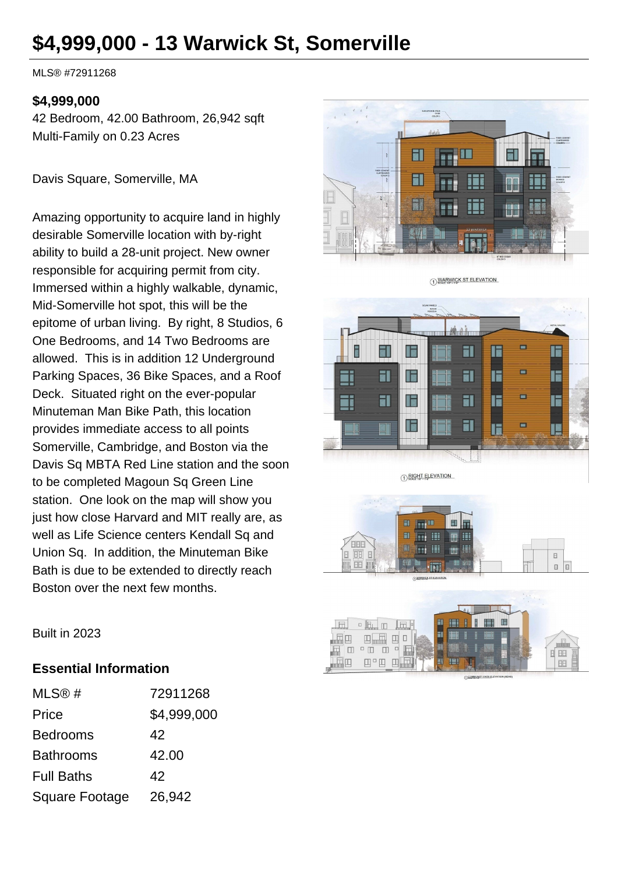# **\$4,999,000 - 13 Warwick St, Somerville**

MLS® #72911268

#### **\$4,999,000**

42 Bedroom, 42.00 Bathroom, 26,942 sqft Multi-Family on 0.23 Acres

Davis Square, Somerville, MA

Amazing opportunity to acquire land in highly desirable Somerville location with by-right ability to build a 28-unit project. New owner responsible for acquiring permit from city. Immersed within a highly walkable, dynamic, Mid-Somerville hot spot, this will be the epitome of urban living. By right, 8 Studios, 6 One Bedrooms, and 14 Two Bedrooms are allowed. This is in addition 12 Underground Parking Spaces, 36 Bike Spaces, and a Roof Deck. Situated right on the ever-popular Minuteman Man Bike Path, this location provides immediate access to all points Somerville, Cambridge, and Boston via the Davis Sq MBTA Red Line station and the soon to be completed Magoun Sq Green Line station. One look on the map will show you just how close Harvard and MIT really are, as well as Life Science centers Kendall Sq and Union Sq. In addition, the Minuteman Bike Bath is due to be extended to directly reach Boston over the next few months.



1) WARWICK ST ELEVATION

 $\Box$ FI F F āl IF  $\Box$  $\overline{\mathbf{d}}$ **FI** IF IF E Ξi  $\Box$ ī۱ FI IE  $\overline{\mathbf{d}}$ IF I  $\overline{\mathbf{a}}$ Iš

1 RIGHT ELEVATION





Built in 2023

#### **Essential Information**

| MLS@#             | 72911268    |
|-------------------|-------------|
| Price             | \$4,999,000 |
| <b>Bedrooms</b>   | 42          |
| <b>Bathrooms</b>  | 42.00       |
| <b>Full Baths</b> | 42          |
| Square Footage    | 26,942      |